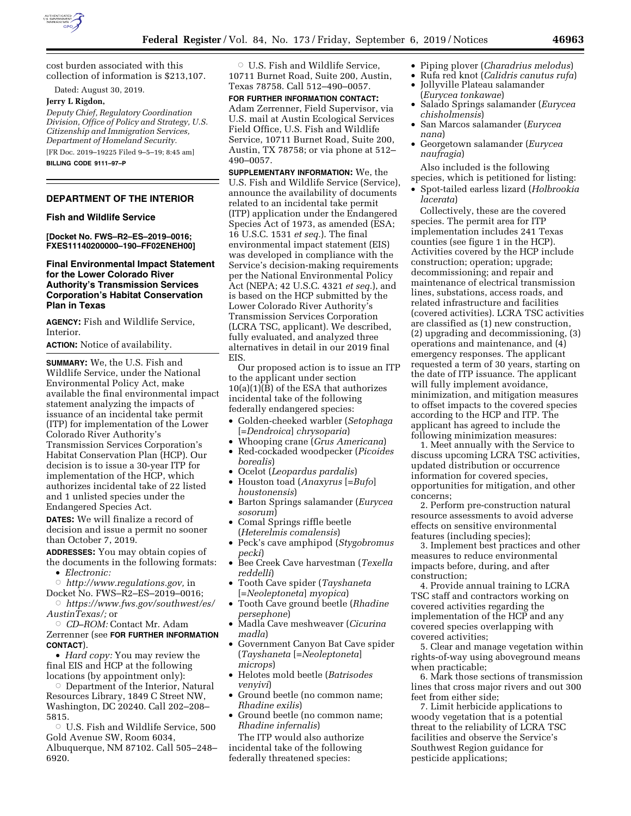

cost burden associated with this collection of information is \$213,107.

Dated: August 30, 2019.

### **Jerry L Rigdon,**

*Deputy Chief, Regulatory Coordination Division, Office of Policy and Strategy, U.S. Citizenship and Immigration Services, Department of Homeland Security.*  [FR Doc. 2019–19225 Filed 9–5–19; 8:45 am]

**BILLING CODE 9111–97–P** 

# **DEPARTMENT OF THE INTERIOR**

### **Fish and Wildlife Service**

**[Docket No. FWS–R2–ES–2019–0016; FXES11140200000–190–FF02ENEH00]** 

# **Final Environmental Impact Statement for the Lower Colorado River Authority's Transmission Services Corporation's Habitat Conservation Plan in Texas**

**AGENCY:** Fish and Wildlife Service, Interior.

**ACTION:** Notice of availability.

**SUMMARY:** We, the U.S. Fish and Wildlife Service, under the National Environmental Policy Act, make available the final environmental impact statement analyzing the impacts of issuance of an incidental take permit (ITP) for implementation of the Lower Colorado River Authority's Transmission Services Corporation's Habitat Conservation Plan (HCP). Our decision is to issue a 30-year ITP for implementation of the HCP, which authorizes incidental take of 22 listed and 1 unlisted species under the Endangered Species Act.

**DATES:** We will finalize a record of decision and issue a permit no sooner than October 7, 2019.

**ADDRESSES:** You may obtain copies of the documents in the following formats:

- *Electronic:*
- Æ *[http://www.regulations.gov,](http://www.regulations.gov)* in
- Docket No. FWS–R2–ES–2019–0016; Æ *[https://www.fws.gov/southwest/es/](https://www.fws.gov/southwest/es/AustinTexas/)*
- *[AustinTexas/;](https://www.fws.gov/southwest/es/AustinTexas/)* or

# Æ *CD–ROM:* Contact Mr. Adam Zerrenner (see **FOR FURTHER INFORMATION CONTACT**).

• *Hard copy:* You may review the final EIS and HCP at the following locations (by appointment only):

Department of the Interior, Natural Resources Library, 1849 C Street NW, Washington, DC 20240. Call 202–208– 5815.

 $\circ$  U.S. Fish and Wildlife Service, 500 Gold Avenue SW, Room 6034, Albuquerque, NM 87102. Call 505–248– 6920.

 $\circ$  U.S. Fish and Wildlife Service, 10711 Burnet Road, Suite 200, Austin, Texas 78758. Call 512–490–0057.

# **FOR FURTHER INFORMATION CONTACT:**

Adam Zerrenner, Field Supervisor, via U.S. mail at Austin Ecological Services Field Office, U.S. Fish and Wildlife Service, 10711 Burnet Road, Suite 200, Austin, TX 78758; or via phone at 512– 490–0057.

**SUPPLEMENTARY INFORMATION:** We, the U.S. Fish and Wildlife Service (Service), announce the availability of documents related to an incidental take permit (ITP) application under the Endangered Species Act of 1973, as amended (ESA; 16 U.S.C. 1531 *et seq.*). The final environmental impact statement (EIS) was developed in compliance with the Service's decision-making requirements per the National Environmental Policy Act (NEPA; 42 U.S.C. 4321 *et seq.*), and is based on the HCP submitted by the Lower Colorado River Authority's Transmission Services Corporation (LCRA TSC, applicant). We described, fully evaluated, and analyzed three alternatives in detail in our 2019 final EIS.

Our proposed action is to issue an ITP to the applicant under section 10(a)(1)(B) of the ESA that authorizes incidental take of the following federally endangered species:

- Golden-cheeked warbler (*Setophaga*  [*=Dendroica*] *chrysoparia*)
- Whooping crane (*Grus Americana*)
- Red-cockaded woodpecker (*Picoides borealis*)
- Ocelot (*Leopardus pardalis*) • Houston toad (*Anaxyrus* [=*Bufo*]
- *houstonensis*)
- Barton Springs salamander (*Eurycea sosorum*)
- Comal Springs riffle beetle (*Heterelmis comalensis*)
- Peck's cave amphipod (*Stygobromus pecki*)
- Bee Creek Cave harvestman (*Texella reddelli*)
- Tooth Cave spider (*Tayshaneta*  [=*Neoleptoneta*] *myopica*)
- Tooth Cave ground beetle (*Rhadine persephone*)
- Madla Cave meshweaver (*Cicurina madla*)
- Government Canyon Bat Cave spider (*Tayshaneta* [=*Neoleptoneta*] *microps*)
- Helotes mold beetle (*Batrisodes venyivi*)
- Ground beetle (no common name; *Rhadine exilis*)
- Ground beetle (no common name; *Rhadine infernalis*)

The ITP would also authorize incidental take of the following federally threatened species:

- Piping plover (*Charadrius melodus*)
- Rufa red knot (*Calidris canutus rufa*)
- Jollyville Plateau salamander (*Eurycea tonkawae*)
- Salado Springs salamander (*Eurycea chisholmensis*)
- San Marcos salamander (*Eurycea nana*)
- Georgetown salamander (*Eurycea naufragia*)

Also included is the following species, which is petitioned for listing:

• Spot-tailed earless lizard (*Holbrookia lacerata*)

Collectively, these are the covered species. The permit area for ITP implementation includes 241 Texas counties (see figure 1 in the HCP). Activities covered by the HCP include construction; operation; upgrade; decommissioning; and repair and maintenance of electrical transmission lines, substations, access roads, and related infrastructure and facilities (covered activities). LCRA TSC activities are classified as (1) new construction, (2) upgrading and decommissioning, (3) operations and maintenance, and (4) emergency responses. The applicant requested a term of 30 years, starting on the date of ITP issuance. The applicant will fully implement avoidance, minimization, and mitigation measures to offset impacts to the covered species according to the HCP and ITP. The applicant has agreed to include the following minimization measures:

1. Meet annually with the Service to discuss upcoming LCRA TSC activities, updated distribution or occurrence information for covered species, opportunities for mitigation, and other concerns;

2. Perform pre-construction natural resource assessments to avoid adverse effects on sensitive environmental features (including species);

3. Implement best practices and other measures to reduce environmental impacts before, during, and after construction;

4. Provide annual training to LCRA TSC staff and contractors working on covered activities regarding the implementation of the HCP and any covered species overlapping with covered activities;

5. Clear and manage vegetation within rights-of-way using aboveground means when practicable;

6. Mark those sections of transmission lines that cross major rivers and out 300 feet from either side;

7. Limit herbicide applications to woody vegetation that is a potential threat to the reliability of LCRA TSC facilities and observe the Service's Southwest Region guidance for pesticide applications;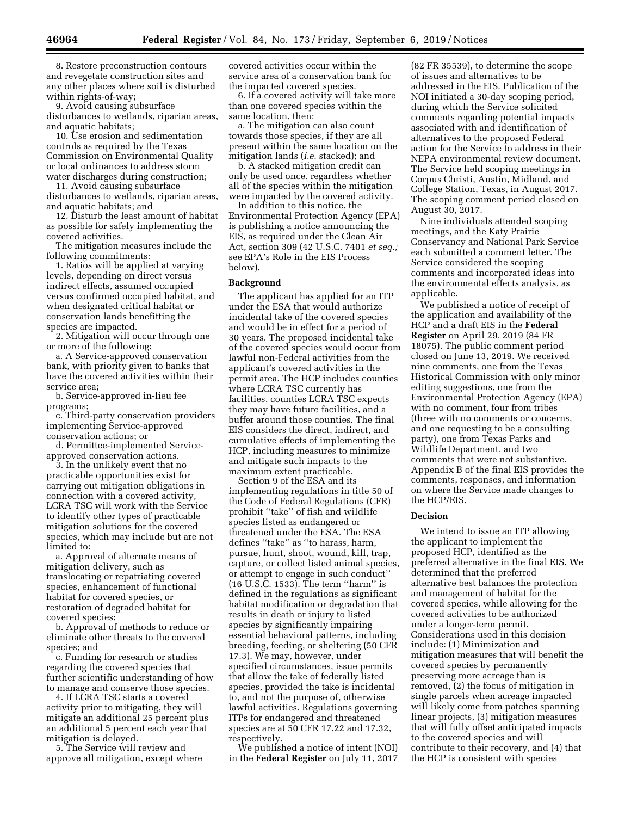8. Restore preconstruction contours and revegetate construction sites and any other places where soil is disturbed within rights-of-way;

9. Avoid causing subsurface disturbances to wetlands, riparian areas, and aquatic habitats;

10. Use erosion and sedimentation controls as required by the Texas Commission on Environmental Quality or local ordinances to address storm water discharges during construction;

11. Avoid causing subsurface disturbances to wetlands, riparian areas, and aquatic habitats; and

12. Disturb the least amount of habitat as possible for safely implementing the covered activities.

The mitigation measures include the following commitments:

1. Ratios will be applied at varying levels, depending on direct versus indirect effects, assumed occupied versus confirmed occupied habitat, and when designated critical habitat or conservation lands benefitting the species are impacted.

2. Mitigation will occur through one or more of the following:

a. A Service-approved conservation bank, with priority given to banks that have the covered activities within their service area;

b. Service-approved in-lieu fee programs;

c. Third-party conservation providers implementing Service-approved conservation actions; or

d. Permittee-implemented Serviceapproved conservation actions.

3. In the unlikely event that no practicable opportunities exist for carrying out mitigation obligations in connection with a covered activity, LCRA TSC will work with the Service to identify other types of practicable mitigation solutions for the covered species, which may include but are not limited to:

a. Approval of alternate means of mitigation delivery, such as translocating or repatriating covered species, enhancement of functional habitat for covered species, or restoration of degraded habitat for covered species;

b. Approval of methods to reduce or eliminate other threats to the covered species; and

c. Funding for research or studies regarding the covered species that further scientific understanding of how to manage and conserve those species.

4. If LCRA TSC starts a covered activity prior to mitigating, they will mitigate an additional 25 percent plus an additional 5 percent each year that mitigation is delayed.

5. The Service will review and approve all mitigation, except where

covered activities occur within the service area of a conservation bank for the impacted covered species.

6. If a covered activity will take more than one covered species within the same location, then:

a. The mitigation can also count towards those species, if they are all present within the same location on the mitigation lands (*i.e.* stacked); and

b. A stacked mitigation credit can only be used once, regardless whether all of the species within the mitigation were impacted by the covered activity.

In addition to this notice, the Environmental Protection Agency (EPA) is publishing a notice announcing the EIS, as required under the Clean Air Act, section 309 (42 U.S.C. 7401 *et seq.;*  see EPA's Role in the EIS Process below).

### **Background**

The applicant has applied for an ITP under the ESA that would authorize incidental take of the covered species and would be in effect for a period of 30 years. The proposed incidental take of the covered species would occur from lawful non-Federal activities from the applicant's covered activities in the permit area. The HCP includes counties where LCRA TSC currently has facilities, counties LCRA TSC expects they may have future facilities, and a buffer around those counties. The final EIS considers the direct, indirect, and cumulative effects of implementing the HCP, including measures to minimize and mitigate such impacts to the maximum extent practicable.

Section 9 of the ESA and its implementing regulations in title 50 of the Code of Federal Regulations (CFR) prohibit ''take'' of fish and wildlife species listed as endangered or threatened under the ESA. The ESA defines ''take'' as ''to harass, harm, pursue, hunt, shoot, wound, kill, trap, capture, or collect listed animal species, or attempt to engage in such conduct'' (16 U.S.C. 1533). The term ''harm'' is defined in the regulations as significant habitat modification or degradation that results in death or injury to listed species by significantly impairing essential behavioral patterns, including breeding, feeding, or sheltering (50 CFR 17.3). We may, however, under specified circumstances, issue permits that allow the take of federally listed species, provided the take is incidental to, and not the purpose of, otherwise lawful activities. Regulations governing ITPs for endangered and threatened species are at 50 CFR 17.22 and 17.32, respectively.

We published a notice of intent (NOI) in the **Federal Register** on July 11, 2017

(82 FR 35539), to determine the scope of issues and alternatives to be addressed in the EIS. Publication of the NOI initiated a 30-day scoping period, during which the Service solicited comments regarding potential impacts associated with and identification of alternatives to the proposed Federal action for the Service to address in their NEPA environmental review document. The Service held scoping meetings in Corpus Christi, Austin, Midland, and College Station, Texas, in August 2017. The scoping comment period closed on August 30, 2017.

Nine individuals attended scoping meetings, and the Katy Prairie Conservancy and National Park Service each submitted a comment letter. The Service considered the scoping comments and incorporated ideas into the environmental effects analysis, as applicable.

We published a notice of receipt of the application and availability of the HCP and a draft EIS in the **Federal Register** on April 29, 2019 (84 FR 18075). The public comment period closed on June 13, 2019. We received nine comments, one from the Texas Historical Commission with only minor editing suggestions, one from the Environmental Protection Agency (EPA) with no comment, four from tribes (three with no comments or concerns, and one requesting to be a consulting party), one from Texas Parks and Wildlife Department, and two comments that were not substantive. Appendix B of the final EIS provides the comments, responses, and information on where the Service made changes to the HCP/EIS.

### **Decision**

We intend to issue an ITP allowing the applicant to implement the proposed HCP, identified as the preferred alternative in the final EIS. We determined that the preferred alternative best balances the protection and management of habitat for the covered species, while allowing for the covered activities to be authorized under a longer-term permit. Considerations used in this decision include: (1) Minimization and mitigation measures that will benefit the covered species by permanently preserving more acreage than is removed, (2) the focus of mitigation in single parcels when acreage impacted will likely come from patches spanning linear projects, (3) mitigation measures that will fully offset anticipated impacts to the covered species and will contribute to their recovery, and (4) that the HCP is consistent with species